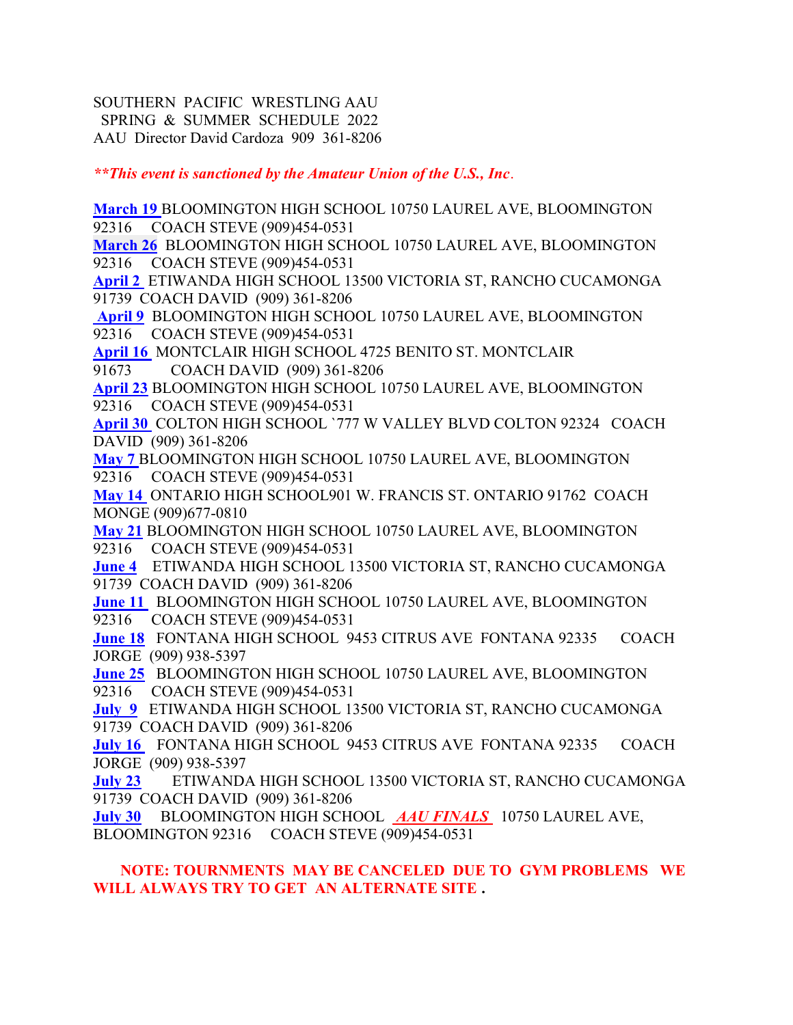SOUTHERN PACIFIC WRESTLING AAU SPRING & SUMMER SCHEDULE 2022 AAU Director David Cardoza 909 361-8206

\*\*This event is sanctioned by the Amateur Union of the U.S., Inc.

March 19 BLOOMINGTON HIGH SCHOOL 10750 LAUREL AVE, BLOOMINGTON 92316 COACH STEVE (909)454-0531

March 26 BLOOMINGTON HIGH SCHOOL 10750 LAUREL AVE, BLOOMINGTON 92316 COACH STEVE (909)454-0531

April 2 ETIWANDA HIGH SCHOOL 13500 VICTORIA ST, RANCHO CUCAMONGA 91739 COACH DAVID (909) 361-8206

 April 9 BLOOMINGTON HIGH SCHOOL 10750 LAUREL AVE, BLOOMINGTON 92316 COACH STEVE (909)454-0531

April 16 MONTCLAIR HIGH SCHOOL 4725 BENITO ST. MONTCLAIR 91673 COACH DAVID (909) 361-8206

April 23 BLOOMINGTON HIGH SCHOOL 10750 LAUREL AVE, BLOOMINGTON 92316 COACH STEVE (909)454-0531

April 30 COLTON HIGH SCHOOL `777 W VALLEY BLVD COLTON 92324 COACH DAVID (909) 361-8206

May 7 BLOOMINGTON HIGH SCHOOL 10750 LAUREL AVE, BLOOMINGTON 92316 COACH STEVE (909)454-0531

May 14 ONTARIO HIGH SCHOOL901 W. FRANCIS ST. ONTARIO 91762 COACH MONGE (909)677-0810

May 21 BLOOMINGTON HIGH SCHOOL 10750 LAUREL AVE, BLOOMINGTON 92316 COACH STEVE (909)454-0531

June 4 ETIWANDA HIGH SCHOOL 13500 VICTORIA ST, RANCHO CUCAMONGA 91739 COACH DAVID (909) 361-8206

June 11 BLOOMINGTON HIGH SCHOOL 10750 LAUREL AVE, BLOOMINGTON 92316 COACH STEVE (909)454-0531

June 18 FONTANA HIGH SCHOOL 9453 CITRUS AVE FONTANA 92335 COACH JORGE (909) 938-5397

June 25 BLOOMINGTON HIGH SCHOOL 10750 LAUREL AVE, BLOOMINGTON 92316 COACH STEVE (909)454-0531

July 9 ETIWANDA HIGH SCHOOL 13500 VICTORIA ST, RANCHO CUCAMONGA 91739 COACH DAVID (909) 361-8206

July 16 FONTANA HIGH SCHOOL 9453 CITRUS AVE FONTANA 92335 COACH JORGE (909) 938-5397

July 23 ETIWANDA HIGH SCHOOL 13500 VICTORIA ST, RANCHO CUCAMONGA 91739 COACH DAVID (909) 361-8206

July 30 BLOOMINGTON HIGH SCHOOL **AAU FINALS** 10750 LAUREL AVE, BLOOMINGTON 92316 COACH STEVE (909)454-0531

## NOTE: TOURNMENTS MAY BE CANCELED DUE TO GYM PROBLEMS WE WILL ALWAYS TRY TO GET AN ALTERNATE SITE .